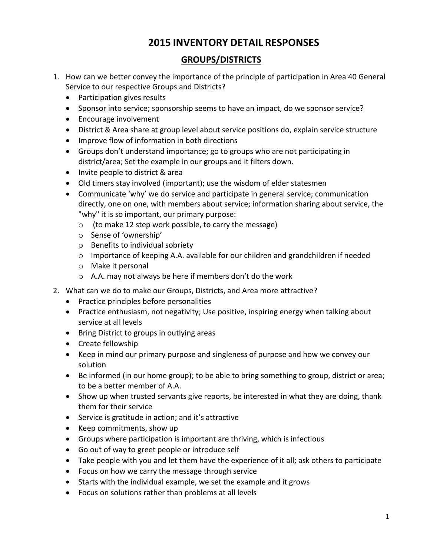# **2015 INVENTORY DETAIL RESPONSES**

# **GROUPS/DISTRICTS**

- 1. How can we better convey the importance of the principle of participation in Area 40 General Service to our respective Groups and Districts?
	- Participation gives results
	- Sponsor into service; sponsorship seems to have an impact, do we sponsor service?
	- Encourage involvement
	- District & Area share at group level about service positions do, explain service structure
	- Improve flow of information in both directions
	- Groups don't understand importance; go to groups who are not participating in district/area; Set the example in our groups and it filters down.
	- Invite people to district & area
	- Old timers stay involved (important); use the wisdom of elder statesmen
	- Communicate 'why' we do service and participate in general service; communication directly, one on one, with members about service; information sharing about service, the "why" it is so important, our primary purpose:
		- o (to make 12 step work possible, to carry the message)
		- o Sense of 'ownership'
		- o Benefits to individual sobriety
		- $\circ$  Importance of keeping A.A. available for our children and grandchildren if needed
		- o Make it personal
		- o A.A. may not always be here if members don't do the work
- 2. What can we do to make our Groups, Districts, and Area more attractive?
	- Practice principles before personalities
	- Practice enthusiasm, not negativity; Use positive, inspiring energy when talking about service at all levels
	- Bring District to groups in outlying areas
	- Create fellowship
	- Keep in mind our primary purpose and singleness of purpose and how we convey our solution
	- Be informed (in our home group); to be able to bring something to group, district or area; to be a better member of A.A.
	- Show up when trusted servants give reports, be interested in what they are doing, thank them for their service
	- Service is gratitude in action; and it's attractive
	- Keep commitments, show up
	- Groups where participation is important are thriving, which is infectious
	- Go out of way to greet people or introduce self
	- Take people with you and let them have the experience of it all; ask others to participate
	- Focus on how we carry the message through service
	- Starts with the individual example, we set the example and it grows
	- Focus on solutions rather than problems at all levels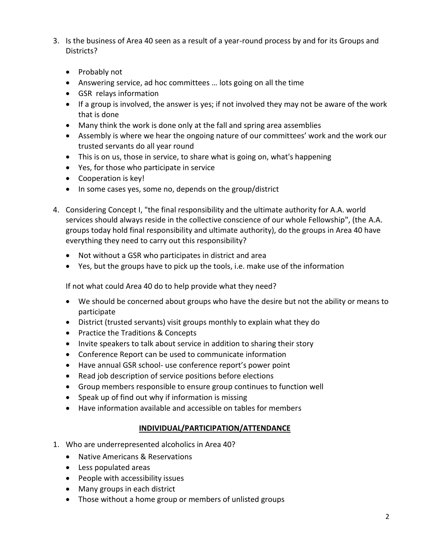- 3. Is the business of Area 40 seen as a result of a year-round process by and for its Groups and Districts?
	- Probably not
	- Answering service, ad hoc committees … lots going on all the time
	- GSR relays information
	- If a group is involved, the answer is yes; if not involved they may not be aware of the work that is done
	- Many think the work is done only at the fall and spring area assemblies
	- Assembly is where we hear the ongoing nature of our committees' work and the work our trusted servants do all year round
	- This is on us, those in service, to share what is going on, what's happening
	- Yes, for those who participate in service
	- Cooperation is key!
	- In some cases yes, some no, depends on the group/district
- 4. Considering Concept I, "the final responsibility and the ultimate authority for A.A. world services should always reside in the collective conscience of our whole Fellowship", (the A.A. groups today hold final responsibility and ultimate authority), do the groups in Area 40 have everything they need to carry out this responsibility?
	- Not without a GSR who participates in district and area
	- Yes, but the groups have to pick up the tools, i.e. make use of the information

If not what could Area 40 do to help provide what they need?

- We should be concerned about groups who have the desire but not the ability or means to participate
- District (trusted servants) visit groups monthly to explain what they do
- Practice the Traditions & Concepts
- Invite speakers to talk about service in addition to sharing their story
- Conference Report can be used to communicate information
- Have annual GSR school- use conference report's power point
- Read job description of service positions before elections
- Group members responsible to ensure group continues to function well
- Speak up of find out why if information is missing
- Have information available and accessible on tables for members

### **INDIVIDUAL/PARTICIPATION/ATTENDANCE**

- 1. Who are underrepresented alcoholics in Area 40?
	- Native Americans & Reservations
	- Less populated areas
	- People with accessibility issues
	- Many groups in each district
	- Those without a home group or members of unlisted groups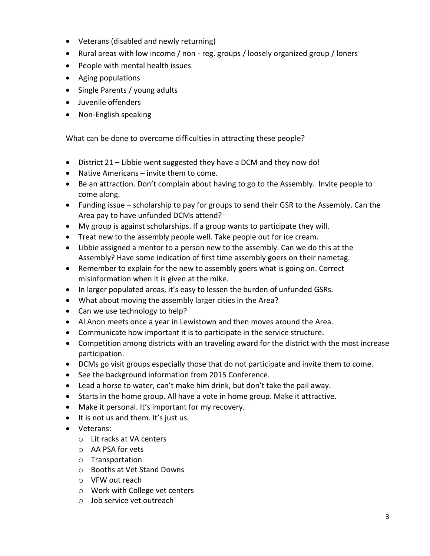- Veterans (disabled and newly returning)
- Rural areas with low income / non reg. groups / loosely organized group / loners
- People with mental health issues
- Aging populations
- Single Parents / young adults
- Juvenile offenders
- Non-English speaking

What can be done to overcome difficulties in attracting these people?

- District 21 Libbie went suggested they have a DCM and they now do!
- Native Americans invite them to come.
- Be an attraction. Don't complain about having to go to the Assembly. Invite people to come along.
- Funding issue scholarship to pay for groups to send their GSR to the Assembly. Can the Area pay to have unfunded DCMs attend?
- My group is against scholarships. If a group wants to participate they will.
- Treat new to the assembly people well. Take people out for ice cream.
- Libbie assigned a mentor to a person new to the assembly. Can we do this at the Assembly? Have some indication of first time assembly goers on their nametag.
- Remember to explain for the new to assembly goers what is going on. Correct misinformation when it is given at the mike.
- In larger populated areas, it's easy to lessen the burden of unfunded GSRs.
- What about moving the assembly larger cities in the Area?
- Can we use technology to help?
- Al Anon meets once a year in Lewistown and then moves around the Area.
- Communicate how important it is to participate in the service structure.
- Competition among districts with an traveling award for the district with the most increase participation.
- DCMs go visit groups especially those that do not participate and invite them to come.
- See the background information from 2015 Conference.
- Lead a horse to water, can't make him drink, but don't take the pail away.
- Starts in the home group. All have a vote in home group. Make it attractive.
- Make it personal. It's important for my recovery.
- It is not us and them. It's just us.
- Veterans:
	- o Lit racks at VA centers
	- o AA PSA for vets
	- o Transportation
	- o Booths at Vet Stand Downs
	- o VFW out reach
	- o Work with College vet centers
	- o Job service vet outreach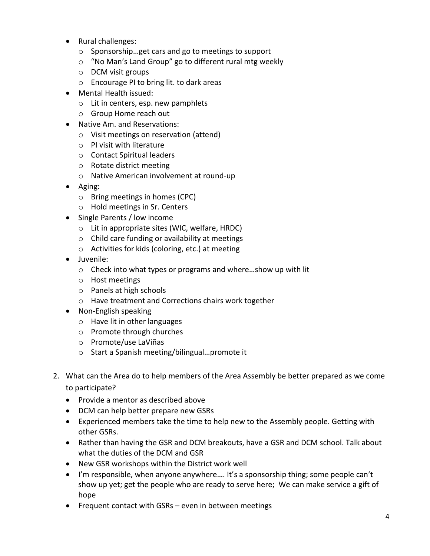- Rural challenges:
	- o Sponsorship…get cars and go to meetings to support
	- o "No Man's Land Group" go to different rural mtg weekly
	- o DCM visit groups
	- o Encourage PI to bring lit. to dark areas
- Mental Health issued:
	- o Lit in centers, esp. new pamphlets
	- o Group Home reach out
- Native Am. and Reservations:
	- o Visit meetings on reservation (attend)
	- o PI visit with literature
	- o Contact Spiritual leaders
	- o Rotate district meeting
	- o Native American involvement at round-up
- Aging:
	- o Bring meetings in homes (CPC)
	- o Hold meetings in Sr. Centers
- Single Parents / low income
	- o Lit in appropriate sites (WIC, welfare, HRDC)
	- o Child care funding or availability at meetings
	- o Activities for kids (coloring, etc.) at meeting
- Juvenile:
	- o Check into what types or programs and where…show up with lit
	- o Host meetings
	- o Panels at high schools
	- o Have treatment and Corrections chairs work together
- Non-English speaking
	- o Have lit in other languages
	- o Promote through churches
	- o Promote/use LaViñas
	- o Start a Spanish meeting/bilingual…promote it
- 2. What can the Area do to help members of the Area Assembly be better prepared as we come to participate?
	- Provide a mentor as described above
	- DCM can help better prepare new GSRs
	- Experienced members take the time to help new to the Assembly people. Getting with other GSRs.
	- Rather than having the GSR and DCM breakouts, have a GSR and DCM school. Talk about what the duties of the DCM and GSR
	- New GSR workshops within the District work well
	- I'm responsible, when anyone anywhere…. It's a sponsorship thing; some people can't show up yet; get the people who are ready to serve here; We can make service a gift of hope
	- Frequent contact with GSRs even in between meetings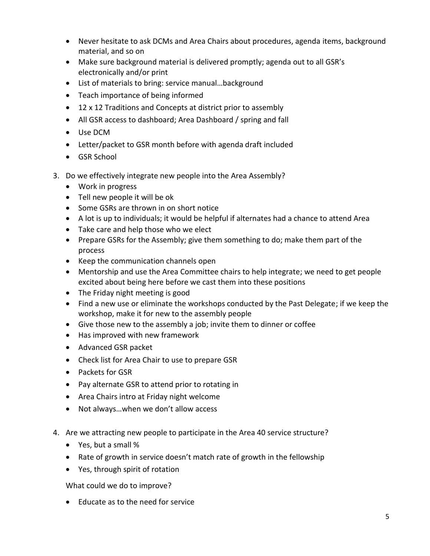- Never hesitate to ask DCMs and Area Chairs about procedures, agenda items, background material, and so on
- Make sure background material is delivered promptly; agenda out to all GSR's electronically and/or print
- List of materials to bring: service manual…background
- Teach importance of being informed
- 12 x 12 Traditions and Concepts at district prior to assembly
- All GSR access to dashboard; Area Dashboard / spring and fall
- Use DCM
- Letter/packet to GSR month before with agenda draft included
- GSR School
- 3. Do we effectively integrate new people into the Area Assembly?
	- Work in progress
	- Tell new people it will be ok
	- Some GSRs are thrown in on short notice
	- A lot is up to individuals; it would be helpful if alternates had a chance to attend Area
	- Take care and help those who we elect
	- Prepare GSRs for the Assembly; give them something to do; make them part of the process
	- Keep the communication channels open
	- Mentorship and use the Area Committee chairs to help integrate; we need to get people excited about being here before we cast them into these positions
	- The Friday night meeting is good
	- Find a new use or eliminate the workshops conducted by the Past Delegate; if we keep the workshop, make it for new to the assembly people
	- Give those new to the assembly a job; invite them to dinner or coffee
	- Has improved with new framework
	- Advanced GSR packet
	- Check list for Area Chair to use to prepare GSR
	- Packets for GSR
	- Pay alternate GSR to attend prior to rotating in
	- Area Chairs intro at Friday night welcome
	- Not always...when we don't allow access
- 4. Are we attracting new people to participate in the Area 40 service structure?
	- Yes, but a small %
	- Rate of growth in service doesn't match rate of growth in the fellowship
	- Yes, through spirit of rotation

What could we do to improve?

Educate as to the need for service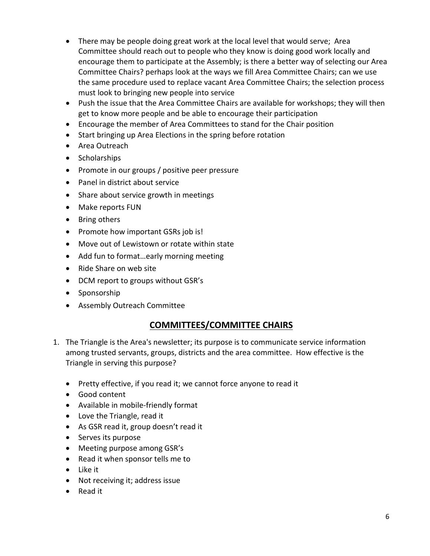- There may be people doing great work at the local level that would serve; Area Committee should reach out to people who they know is doing good work locally and encourage them to participate at the Assembly; is there a better way of selecting our Area Committee Chairs? perhaps look at the ways we fill Area Committee Chairs; can we use the same procedure used to replace vacant Area Committee Chairs; the selection process must look to bringing new people into service
- Push the issue that the Area Committee Chairs are available for workshops; they will then get to know more people and be able to encourage their participation
- Encourage the member of Area Committees to stand for the Chair position
- Start bringing up Area Elections in the spring before rotation
- Area Outreach
- Scholarships
- Promote in our groups / positive peer pressure
- Panel in district about service
- Share about service growth in meetings
- Make reports FUN
- Bring others
- Promote how important GSRs job is!
- Move out of Lewistown or rotate within state
- Add fun to format...early morning meeting
- Ride Share on web site
- DCM report to groups without GSR's
- Sponsorship
- Assembly Outreach Committee

# **COMMITTEES/COMMITTEE CHAIRS**

- 1. The Triangle is the Area's newsletter; its purpose is to communicate service information among trusted servants, groups, districts and the area committee. How effective is the Triangle in serving this purpose?
	- Pretty effective, if you read it; we cannot force anyone to read it
	- Good content
	- Available in mobile-friendly format
	- Love the Triangle, read it
	- As GSR read it, group doesn't read it
	- Serves its purpose
	- Meeting purpose among GSR's
	- Read it when sponsor tells me to
	- Like it
	- Not receiving it; address issue
	- Read it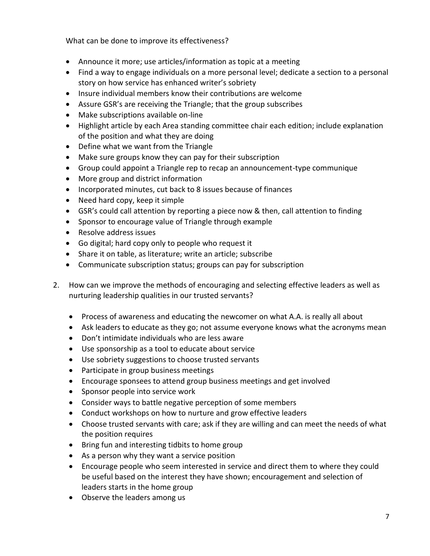What can be done to improve its effectiveness?

- Announce it more; use articles/information as topic at a meeting
- Find a way to engage individuals on a more personal level; dedicate a section to a personal story on how service has enhanced writer's sobriety
- Insure individual members know their contributions are welcome
- Assure GSR's are receiving the Triangle; that the group subscribes
- Make subscriptions available on-line
- Highlight article by each Area standing committee chair each edition; include explanation of the position and what they are doing
- Define what we want from the Triangle
- Make sure groups know they can pay for their subscription
- Group could appoint a Triangle rep to recap an announcement-type communique
- More group and district information
- Incorporated minutes, cut back to 8 issues because of finances
- Need hard copy, keep it simple
- GSR's could call attention by reporting a piece now & then, call attention to finding
- Sponsor to encourage value of Triangle through example
- Resolve address issues
- Go digital; hard copy only to people who request it
- Share it on table, as literature; write an article; subscribe
- Communicate subscription status; groups can pay for subscription
- 2. How can we improve the methods of encouraging and selecting effective leaders as well as nurturing leadership qualities in our trusted servants?
	- Process of awareness and educating the newcomer on what A.A. is really all about
	- Ask leaders to educate as they go; not assume everyone knows what the acronyms mean
	- Don't intimidate individuals who are less aware
	- Use sponsorship as a tool to educate about service
	- Use sobriety suggestions to choose trusted servants
	- Participate in group business meetings
	- Encourage sponsees to attend group business meetings and get involved
	- Sponsor people into service work
	- Consider ways to battle negative perception of some members
	- Conduct workshops on how to nurture and grow effective leaders
	- Choose trusted servants with care; ask if they are willing and can meet the needs of what the position requires
	- Bring fun and interesting tidbits to home group
	- As a person why they want a service position
	- Encourage people who seem interested in service and direct them to where they could be useful based on the interest they have shown; encouragement and selection of leaders starts in the home group
	- Observe the leaders among us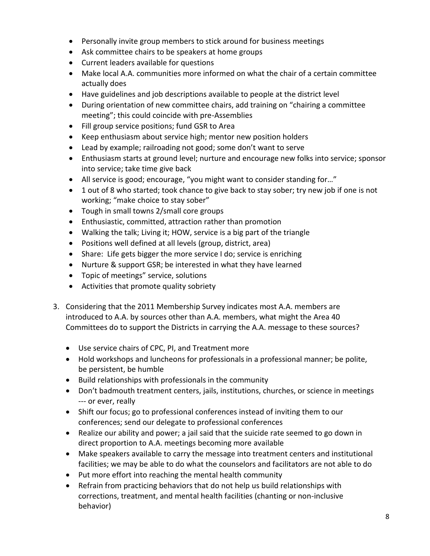- Personally invite group members to stick around for business meetings
- Ask committee chairs to be speakers at home groups
- Current leaders available for questions
- Make local A.A. communities more informed on what the chair of a certain committee actually does
- Have guidelines and job descriptions available to people at the district level
- During orientation of new committee chairs, add training on "chairing a committee meeting"; this could coincide with pre-Assemblies
- Fill group service positions; fund GSR to Area
- Keep enthusiasm about service high; mentor new position holders
- Lead by example; railroading not good; some don't want to serve
- Enthusiasm starts at ground level; nurture and encourage new folks into service; sponsor into service; take time give back
- All service is good; encourage, "you might want to consider standing for…"
- 1 out of 8 who started; took chance to give back to stay sober; try new job if one is not working; "make choice to stay sober"
- Tough in small towns 2/small core groups
- Enthusiastic, committed, attraction rather than promotion
- Walking the talk; Living it; HOW, service is a big part of the triangle
- Positions well defined at all levels (group, district, area)
- Share: Life gets bigger the more service I do; service is enriching
- Nurture & support GSR; be interested in what they have learned
- Topic of meetings" service, solutions
- Activities that promote quality sobriety
- 3. Considering that the 2011 Membership Survey indicates most A.A. members are introduced to A.A. by sources other than A.A. members, what might the Area 40 Committees do to support the Districts in carrying the A.A. message to these sources?
	- Use service chairs of CPC, PI, and Treatment more
	- Hold workshops and luncheons for professionals in a professional manner; be polite, be persistent, be humble
	- Build relationships with professionals in the community
	- Don't badmouth treatment centers, jails, institutions, churches, or science in meetings --- or ever, really
	- Shift our focus; go to professional conferences instead of inviting them to our conferences; send our delegate to professional conferences
	- Realize our ability and power; a jail said that the suicide rate seemed to go down in direct proportion to A.A. meetings becoming more available
	- Make speakers available to carry the message into treatment centers and institutional facilities; we may be able to do what the counselors and facilitators are not able to do
	- Put more effort into reaching the mental health community
	- Refrain from practicing behaviors that do not help us build relationships with corrections, treatment, and mental health facilities (chanting or non-inclusive behavior)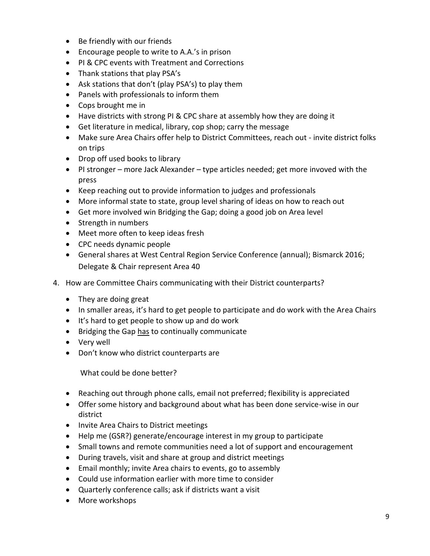- Be friendly with our friends
- Encourage people to write to A.A.'s in prison
- PI & CPC events with Treatment and Corrections
- Thank stations that play PSA's
- Ask stations that don't (play PSA's) to play them
- Panels with professionals to inform them
- Cops brought me in
- Have districts with strong PI & CPC share at assembly how they are doing it
- Get literature in medical, library, cop shop; carry the message
- Make sure Area Chairs offer help to District Committees, reach out invite district folks on trips
- Drop off used books to library
- PI stronger more Jack Alexander type articles needed; get more invoved with the press
- Keep reaching out to provide information to judges and professionals
- More informal state to state, group level sharing of ideas on how to reach out
- Get more involved win Bridging the Gap; doing a good job on Area level
- Strength in numbers
- Meet more often to keep ideas fresh
- CPC needs dynamic people
- General shares at West Central Region Service Conference (annual); Bismarck 2016; Delegate & Chair represent Area 40
- 4. How are Committee Chairs communicating with their District counterparts?
	- They are doing great
	- In smaller areas, it's hard to get people to participate and do work with the Area Chairs
	- It's hard to get people to show up and do work
	- Bridging the Gap has to continually communicate
	- Very well
	- Don't know who district counterparts are

What could be done better?

- Reaching out through phone calls, email not preferred; flexibility is appreciated
- Offer some history and background about what has been done service-wise in our district
- Invite Area Chairs to District meetings
- Help me (GSR?) generate/encourage interest in my group to participate
- Small towns and remote communities need a lot of support and encouragement
- During travels, visit and share at group and district meetings
- Email monthly; invite Area chairs to events, go to assembly
- Could use information earlier with more time to consider
- Quarterly conference calls; ask if districts want a visit
- More workshops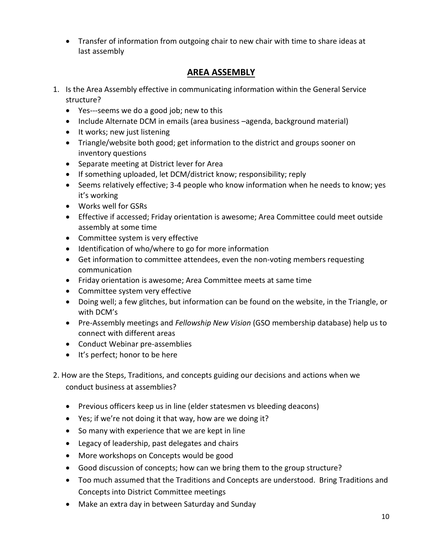Transfer of information from outgoing chair to new chair with time to share ideas at last assembly

# **AREA ASSEMBLY**

- 1. Is the Area Assembly effective in communicating information within the General Service structure?
	- Yes---seems we do a good job; new to this
	- Include Alternate DCM in emails (area business -agenda, background material)
	- It works; new just listening
	- Triangle/website both good; get information to the district and groups sooner on inventory questions
	- Separate meeting at District lever for Area
	- If something uploaded, let DCM/district know; responsibility; reply
	- Seems relatively effective; 3-4 people who know information when he needs to know; yes it's working
	- Works well for GSRs
	- Effective if accessed; Friday orientation is awesome; Area Committee could meet outside assembly at some time
	- Committee system is very effective
	- Identification of who/where to go for more information
	- Get information to committee attendees, even the non-voting members requesting communication
	- Friday orientation is awesome; Area Committee meets at same time
	- Committee system very effective
	- Doing well; a few glitches, but information can be found on the website, in the Triangle, or with DCM's
	- Pre-Assembly meetings and *Fellowship New Vision* (GSO membership database) help us to connect with different areas
	- Conduct Webinar pre-assemblies
	- It's perfect; honor to be here
- 2. How are the Steps, Traditions, and concepts guiding our decisions and actions when we conduct business at assemblies?
	- Previous officers keep us in line (elder statesmen vs bleeding deacons)
	- Yes; if we're not doing it that way, how are we doing it?
	- So many with experience that we are kept in line
	- Legacy of leadership, past delegates and chairs
	- More workshops on Concepts would be good
	- Good discussion of concepts; how can we bring them to the group structure?
	- Too much assumed that the Traditions and Concepts are understood. Bring Traditions and Concepts into District Committee meetings
	- Make an extra day in between Saturday and Sunday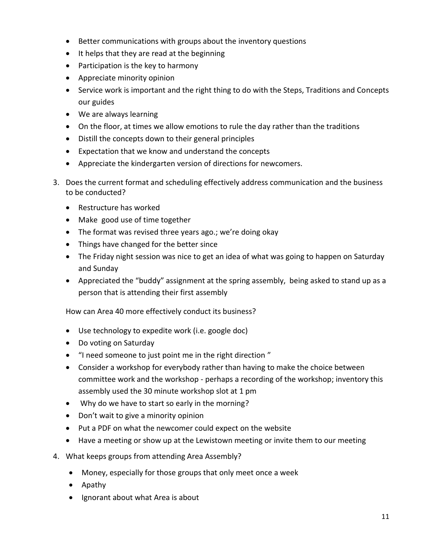- Better communications with groups about the inventory questions
- It helps that they are read at the beginning
- Participation is the key to harmony
- Appreciate minority opinion
- Service work is important and the right thing to do with the Steps, Traditions and Concepts our guides
- We are always learning
- On the floor, at times we allow emotions to rule the day rather than the traditions
- Distill the concepts down to their general principles
- Expectation that we know and understand the concepts
- Appreciate the kindergarten version of directions for newcomers.
- 3. Does the current format and scheduling effectively address communication and the business to be conducted?
	- Restructure has worked
	- Make good use of time together
	- The format was revised three years ago.; we're doing okay
	- Things have changed for the better since
	- The Friday night session was nice to get an idea of what was going to happen on Saturday and Sunday
	- Appreciated the "buddy" assignment at the spring assembly, being asked to stand up as a person that is attending their first assembly

How can Area 40 more effectively conduct its business?

- Use technology to expedite work (i.e. google doc)
- Do voting on Saturday
- "I need someone to just point me in the right direction "
- Consider a workshop for everybody rather than having to make the choice between committee work and the workshop - perhaps a recording of the workshop; inventory this assembly used the 30 minute workshop slot at 1 pm
- Why do we have to start so early in the morning?
- Don't wait to give a minority opinion
- Put a PDF on what the newcomer could expect on the website
- Have a meeting or show up at the Lewistown meeting or invite them to our meeting
- 4. What keeps groups from attending Area Assembly?
	- Money, especially for those groups that only meet once a week
	- Apathy
	- Ignorant about what Area is about